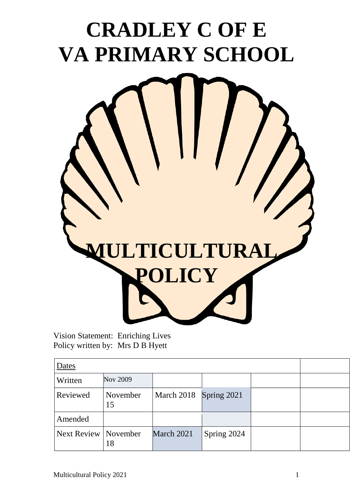

Vision Statement: Enriching Lives Policy written by: Mrs D B Hyett

| Dates                  |                |                        |             |  |  |
|------------------------|----------------|------------------------|-------------|--|--|
| Written                | Nov 2009       |                        |             |  |  |
| Reviewed               | November<br>15 | March 2018 Spring 2021 |             |  |  |
| Amended                |                |                        |             |  |  |
| Next Review   November | 18             | March 2021             | Spring 2024 |  |  |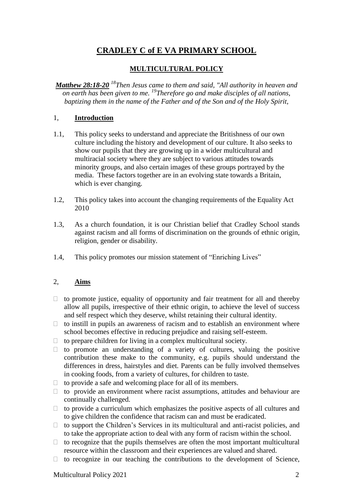# **CRADLEY C of E VA PRIMARY SCHOOL**

### **MULTICULTURAL POLICY**

*Matthew [28:18-20](http://www.biblica.com/en-us/bible/online-bible/niv/matthew/28/) <sup>18</sup>Then Jesus came to them and said, "All authority in heaven and on earth has been given to me. <sup>19</sup>Therefore go and make disciples of all nations, baptizing them in the name of the Father and of the Son and of the Holy Spirit,*

### 1, **Introduction**

- 1.1, This policy seeks to understand and appreciate the Britishness of our own culture including the history and development of our culture. It also seeks to show our pupils that they are growing up in a wider multicultural and multiracial society where they are subject to various attitudes towards minority groups, and also certain images of these groups portrayed by the media. These factors together are in an evolving state towards a Britain, which is ever changing.
- 1.2, This policy takes into account the changing requirements of the Equality Act 2010
- 1.3, As a church foundation, it is our Christian belief that Cradley School stands against racism and all forms of discrimination on the grounds of ethnic origin, religion, gender or disability.
- 1.4, This policy promotes our mission statement of "Enriching Lives"

#### 2, **Aims**

- $\Box$  to promote justice, equality of opportunity and fair treatment for all and thereby allow all pupils, irrespective of their ethnic origin, to achieve the level of success and self respect which they deserve, whilst retaining their cultural identity.
- $\Box$  to instill in pupils an awareness of racism and to establish an environment where school becomes effective in reducing prejudice and raising self-esteem.
- $\Box$  to prepare children for living in a complex multicultural society.
- $\Box$  to promote an understanding of a variety of cultures, valuing the positive contribution these make to the community, e.g. pupils should understand the differences in dress, hairstyles and diet. Parents can be fully involved themselves in cooking foods, from a variety of cultures, for children to taste.
- $\Box$  to provide a safe and welcoming place for all of its members.
- $\Box$  to provide an environment where racist assumptions, attitudes and behaviour are continually challenged.
- $\Box$  to provide a curriculum which emphasizes the positive aspects of all cultures and to give children the confidence that racism can and must be eradicated.
- $\Box$  to support the Children's Services in its multicultural and anti-racist policies, and to take the appropriate action to deal with any form of racism within the school.
- $\Box$  to recognize that the pupils themselves are often the most important multicultural resource within the classroom and their experiences are valued and shared.
- $\Box$  to recognize in our teaching the contributions to the development of Science,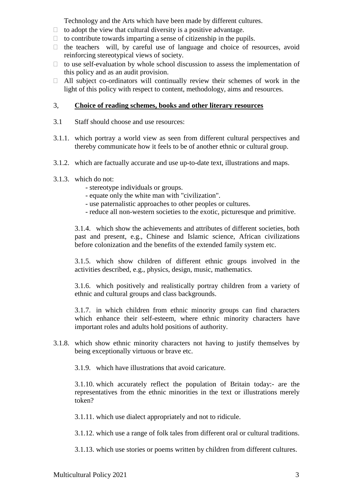Technology and the Arts which have been made by different cultures.

- $\Box$  to adopt the view that cultural diversity is a positive advantage.
- $\Box$  to contribute towards imparting a sense of citizenship in the pupils.
- $\Box$  the teachers will, by careful use of language and choice of resources, avoid reinforcing stereotypical views of society.
- $\Box$  to use self-evaluation by whole school discussion to assess the implementation of this policy and as an audit provision.
- $\Box$  All subject co-ordinators will continually review their schemes of work in the light of this policy with respect to content, methodology, aims and resources.

#### 3, **Choice of reading schemes, books and other literary resources**

- 3.1 Staff should choose and use resources:
- 3.1.1. which portray a world view as seen from different cultural perspectives and thereby communicate how it feels to be of another ethnic or cultural group.
- 3.1.2. which are factually accurate and use up-to-date text, illustrations and maps.
- 3.1.3. which do not:
	- stereotype individuals or groups.
	- equate only the white man with "civilization".
	- use paternalistic approaches to other peoples or cultures.
	- reduce all non-western societies to the exotic, picturesque and primitive.

3.1.4. which show the achievements and attributes of different societies, both past and present, e.g., Chinese and Islamic science, African civilizations before colonization and the benefits of the extended family system etc.

3.1.5. which show children of different ethnic groups involved in the activities described, e.g., physics, design, music, mathematics.

3.1.6. which positively and realistically portray children from a variety of ethnic and cultural groups and class backgrounds.

3.1.7. in which children from ethnic minority groups can find characters which enhance their self-esteem, where ethnic minority characters have important roles and adults hold positions of authority.

3.1.8. which show ethnic minority characters not having to justify themselves by being exceptionally virtuous or brave etc.

3.1.9. which have illustrations that avoid caricature.

3.1.10. which accurately reflect the population of Britain today:- are the representatives from the ethnic minorities in the text or illustrations merely token?

3.1.11. which use dialect appropriately and not to ridicule.

3.1.12. which use a range of folk tales from different oral or cultural traditions.

3.1.13. which use stories or poems written by children from different cultures.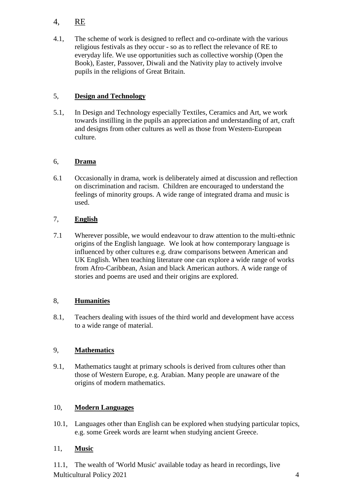# 4, RE

4.1, The scheme of work is designed to reflect and co-ordinate with the various religious festivals as they occur - so as to reflect the relevance of RE to everyday life. We use opportunities such as collective worship (Open the Book), Easter, Passover, Diwali and the Nativity play to actively involve pupils in the religions of Great Britain.

# 5, **Design and Technology**

5.1, In Design and Technology especially Textiles, Ceramics and Art, we work towards instilling in the pupils an appreciation and understanding of art, craft and designs from other cultures as well as those from Western-European culture.

# 6, **Drama**

6.1 Occasionally in drama, work is deliberately aimed at discussion and reflection on discrimination and racism. Children are encouraged to understand the feelings of minority groups. A wide range of integrated drama and music is used.

# 7, **English**

7.1 Wherever possible, we would endeavour to draw attention to the multi-ethnic origins of the English language. We look at how contemporary language is influenced by other cultures e.g. draw comparisons between American and UK English. When teaching literature one can explore a wide range of works from Afro-Caribbean, Asian and black American authors. A wide range of stories and poems are used and their origins are explored.

## 8, **Humanities**

8.1, Teachers dealing with issues of the third world and development have access to a wide range of material.

## 9, **Mathematics**

9.1, Mathematics taught at primary schools is derived from cultures other than those of Western Europe, e.g. Arabian. Many people are unaware of the origins of modern mathematics.

## 10, **Modern Languages**

10.1, Languages other than English can be explored when studying particular topics, e.g. some Greek words are learnt when studying ancient Greece.

## 11, **Music**

Multicultural Policy 2021 4 11.1, The wealth of 'World Music' available today as heard in recordings, live